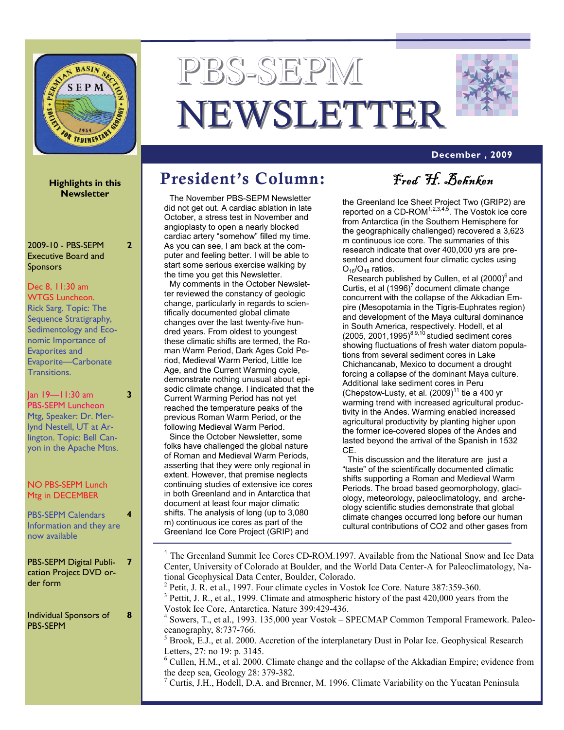

# PBS-SEPM NEWSLETTER



### **December , 2009**

**Highlights in this Newsletter** 

**2** 

**3** 

**4** 

**8** 

2009-10 - PBS-SEPM Executive Board and Sponsors

#### Dec 8, 11:30 am WTGS Luncheon.

Rick Sarg. Topic: The Sequence Stratigraphy, Sedimentology and Economic Importance of Evaporites and Evaporite—Carbonate Transitions.

Jan 19—11:30 am PBS-SEPM Luncheon Mtg, Speaker: Dr. Merlynd Nestell, UT at Arlington. Topic: Bell Canyon in the Apache Mtns.

#### NO PBS-SEPM Lunch Mtg in DECEMBER

PBS-SEPM Calendars Information and they are now available

PBS-SEPM Digital Publication Project DVD order form **7** 

Individual Sponsors of PBS-SEPM

# President's Column: Fred H. Behnken

The November PBS-SEPM Newsletter did not get out. A cardiac ablation in late October, a stress test in November and angioplasty to open a nearly blocked cardiac artery "somehow" filled my time. As you can see, I am back at the computer and feeling better. I will be able to start some serious exercise walking by the time you get this Newsletter.

My comments in the October Newsletter reviewed the constancy of geologic change, particularly in regards to scientifically documented global climate changes over the last twenty-five hundred years. From oldest to youngest these climatic shifts are termed, the Roman Warm Period, Dark Ages Cold Period, Medieval Warm Period, Little Ice Age, and the Current Warming cycle, demonstrate nothing unusual about episodic climate change. I indicated that the Current Warming Period has not yet reached the temperature peaks of the previous Roman Warm Period, or the following Medieval Warm Period.

Since the October Newsletter, some folks have challenged the global nature of Roman and Medieval Warm Periods, asserting that they were only regional in extent. However, that premise neglects continuing studies of extensive ice cores in both Greenland and in Antarctica that document at least four major climatic shifts. The analysis of long (up to 3,080 m) continuous ice cores as part of the Greenland Ice Core Project (GRIP) and

the Greenland Ice Sheet Project Two (GRIP2) are reported on a CD-ROM<sup>1,2,3,4,5</sup>. The Vostok ice core from Antarctica (in the Southern Hemisphere for the geographically challenged) recovered a 3,623 m continuous ice core. The summaries of this research indicate that over 400,000 yrs are presented and document four climatic cycles using  $O_{16}/O_{18}$  ratios.

Research published by Cullen, et al  $(2000)^6$  and Curtis, et al  $(1996)^7$  document climate change concurrent with the collapse of the Akkadian Empire (Mesopotamia in the Tigris-Euphrates region) and development of the Maya cultural dominance in South America, respectively. Hodell, et al  $(2005, 2001, 1995)^{8,9,10}$  studied sediment cores showing fluctuations of fresh water diatom populations from several sediment cores in Lake Chichancanab, Mexico to document a drought forcing a collapse of the dominant Maya culture. Additional lake sediment cores in Peru (Chepstow-Lusty, et al.  $(2009)^{11}$  tie a 400 yr warming trend with increased agricultural productivity in the Andes. Warming enabled increased agricultural productivity by planting higher upon the former ice-covered slopes of the Andes and lasted beyond the arrival of the Spanish in 1532 CE.

This discussion and the literature are just a "taste" of the scientifically documented climatic shifts supporting a Roman and Medieval Warm Periods. The broad based geomorphology, glaciology, meteorology, paleoclimatology, and archeology scientific studies demonstrate that global climate changes occurred long before our human cultural contributions of CO2 and other gases from

<sup>1</sup> The Greenland Summit Ice Cores CD-ROM.1997. Available from the National Snow and Ice Data Center, University of Colorado at Boulder, and the World Data Center-A for Paleoclimatology, National Geophysical Data Center, Boulder, Colorado. <sup>2</sup> Petit, J. R. et al., 1997. Four climate cycles in Vostok Ice Core. Nature 387:359-360.  $3$  Pettit, J. R., et al., 1999. Climate and atmospheric history of the past 420,000 years from the Vostok Ice Core, Antarctica. Nature 399:429-436. <sup>4</sup> Sowers, T., et al., 1993. 135,000 year Vostok – SPECMAP Common Temporal Framework. Paleoceanography, 8:737-766.  $<sup>5</sup>$  Brook, E.J., et al. 2000. Accretion of the interplanetary Dust in Polar Ice. Geophysical Research</sup> Letters, 27: no 19: p. 3145. <sup>6</sup> Cullen, H.M., et al. 2000. Climate change and the collapse of the Akkadian Empire; evidence from the deep sea, Geology 28: 379-382.

<sup>7</sup> Curtis, J.H., Hodell, D.A. and Brenner, M. 1996. Climate Variability on the Yucatan Peninsula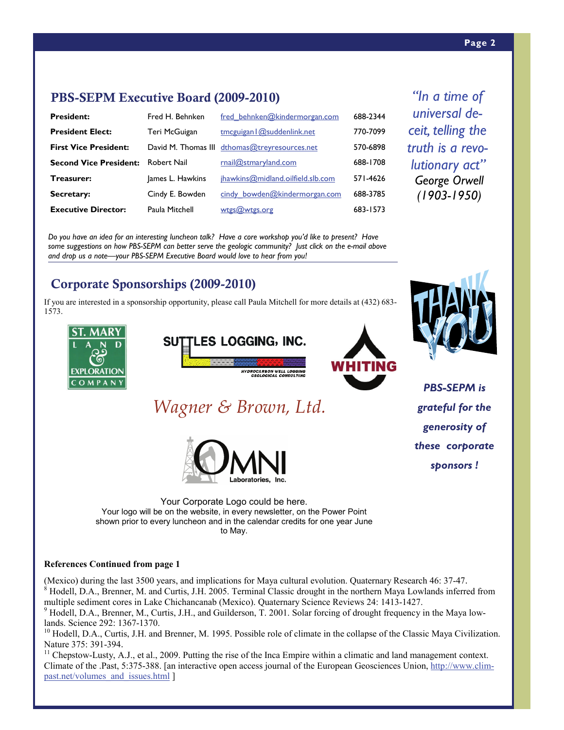*"In a time of universal deceit, telling the truth is a revolutionary act" George Orwell (1903-1950)* 

### PBS-SEPM Executive Board (2009-2010)

| <b>President:</b>             | Fred H. Behnken  | fred_behnken@kindermorgan.com                 | 688-2344 |
|-------------------------------|------------------|-----------------------------------------------|----------|
| <b>President Elect:</b>       | Teri McGuigan    | tmcguigan $\log$ suddenlink.net               | 770-7099 |
| <b>First Vice President:</b>  |                  | David M. Thomas III dthomas@treyresources.net | 570-6898 |
| <b>Second Vice President:</b> | Robert Nail      | rnail@stmaryland.com                          | 688-1708 |
| Treasurer:                    | James L. Hawkins | jhawkins@midland.oilfield.slb.com             | 571-4626 |
| Secretary:                    | Cindy E. Bowden  | cindy bowden@kindermorgan.com                 | 688-3785 |
| <b>Executive Director:</b>    | Paula Mitchell   | wtgs@wtgs.org                                 | 683-1573 |

*Do you have an idea for an interesting luncheon talk? Have a core workshop you'd like to present? Have*  some suggestions on how PBS-SEPM can better serve the geologic community? Just click on the e-mail above *and drop us a note—your PBS-SEPM Executive Board would love to hear from you!* 

# Corporate Sponsorships (2009-2010)

If you are interested in a sponsorship opportunity, please call Paula Mitchell for more details at (432) 683- 1573.









*PBS-SEPM is grateful for the generosity of these corporate sponsors !* 

*Wagner & Brown, Ltd.*



Your Corporate Logo could be here. Your logo will be on the website, in every newsletter, on the Power Point shown prior to every luncheon and in the calendar credits for one year June to May.

### **References Continued from page 1**

(Mexico) during the last 3500 years, and implications for Maya cultural evolution. Quaternary Research 46: 37-47.  $8$  Hodell, D.A., Brenner, M. and Curtis, J.H. 2005. Terminal Classic drought in the northern Maya Lowlands inferred from multiple sediment cores in Lake Chichancanab (Mexico). Quaternary Science Reviews 24: 1413-1427. <sup>9</sup> Hodell, D.A., Brenner, M., Curtis, J.H., and Guilderson, T. 2001. Solar forcing of drought frequency in the Maya low-

lands. Science 292: 1367-1370.

 $^{10}$  Hodell, D.A., Curtis, J.H. and Brenner, M. 1995. Possible role of climate in the collapse of the Classic Maya Civilization. Nature 375: 391-394.

 $<sup>11</sup>$  Chepstow-Lusty, A.J., et al., 2009. Putting the rise of the Inca Empire within a climatic and land management context.</sup> Climate of the .Past, 5:375-388. [an interactive open access journal of the European Geosciences Union, http://www.climpast.net/volumes\_and\_issues.html ]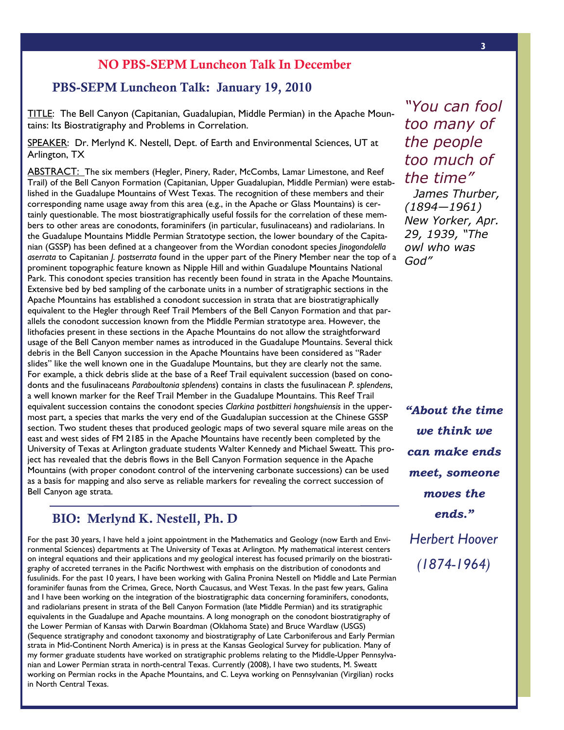### NO PBS-SEPM Luncheon Talk In December

### PBS-SEPM Luncheon Talk: January 19, 2010

TITLE: The Bell Canyon (Capitanian, Guadalupian, Middle Permian) in the Apache Mountains: Its Biostratigraphy and Problems in Correlation.

SPEAKER: George El-kaseeh (WesternGeco-Schlumberger; Houston, TX) Arlington, TX SPEAKER: Dr. Merlynd K. Nestell, Dept. of Earth and Environmental Sciences, UT at

ABSTRACT: The six members (Hegler, Pinery, Rader, McCombs, Lamar Limestone, and Reef **TEUTTWICH:** The SIX members (Figer, Finer, Figere, Figer, Figerman, Lamar Emicstone, and Reef<br>Trail) of the Bell Canyon Formation (Capitanian, Upper Guadalupian, Middle Permian) were established in the Guadalupe Mountains of West Texas. The recognition of these members and their corresponding name usage away from this area (e.g., in the Apache or Glass Mountains) is certainly questionable. The most biostratigraphically useful fossils for the correlation of these members to other areas are conodonts, foraminifers (in particular, fusulinaceans) and radiolarians. In the Guadalupe Mountains Middle Permian Stratotype section, the lower boundary of the Capitadifferent to Capitanian *J.* postserrata found in the upper part of the Pinery Member near the top of a prominent topographic feature known as Nipple Hill and within Guadalupe Mountains National Park. This conodont species transition has recently been found in strata in the Apache Mountains. Extensive bed by bed sampling of the carbonate units in a number of stratigraphic sections in the Apache Mountains has established a conodont succession in strata that are biostratigraphically allels the conodont succession known from the Middle Permian stratotype area. However, the Interfaces present in these sections in the Apache Mountains do not allow the straightforward ntholities present in these sections in the riplant ribundants as not allow the straightor ward debris in the Bell Canyon succession in the Apache Mountains have been considered as "Rader slides" like the well known one in the Guadalupe Mountains, but they are clearly not the same. For example, a thick debris slide at the base of a Reef Trail equivalent succession (based on conoa well known marker for the Reef Trail Member in the Guadalupe Mountains. This Reef Trail equivalent succession contains the conodont species *Clarkina postbitteri hongshuiensis* in the uppermost part, a species that marks the very end of the Guadalupian succession at the Chinese GSSP section. Two student theses that produced geologic maps of two several square mile areas on the east and west sides of FM 2185 in the Apache Mountains have recently been completed by the east and west sides of FM 2185 in the Apache Mountains have recently been completed by the east and west sides of 1112105 in the Apache Flodinants have recently been completed by the<br>University of Texas at Arlington graduate students Walter Kennedy and Michael Sweatt. This project has revealed that the debris flows in the Bell Canyon Formation sequence in the Apache as a basis for mapping and also serve as reliable markers for revealing the correct succession of<br>Rell Canyon ase strata nian (GSSP) has been defined at a changeover from the Wordian conodont species *Jinogondolella*  equivalent to the Hegler through Reef Trail Members of the Bell Canyon Formation and that pardonts and the fusulinaceans *Paraboultonia splendens*) contains in clasts the fusulinacean *P. splendens*, Mountains (with proper conodont control of the intervening carbonate successions) can be used Bell Canyon age strata.

# BIO: Merlynd K. Nestell, Ph. D

ronmental Sciences) departments at The University of Texas at Arlington. My mathematical interest centers on integral equations and their applications and my geological interest has focused primarily on the biostratigraphy of accreted terranes in the Pacific Northwest with emphasis on the distribution of conodonts and fusulinids. For the past 10 years, I have been working with Galina Pronina Nestell on Middle and Late Permian for amilimer faunas from the Crimea, Grece, i vortir Caucasus, and vvest rexas. In the past few years, Galina<br>and I have been working on the integration of the biostratigraphic data concerning foraminifers, conodonts, and radiolarians present in strata of the Bell Canyon Formation (late Middle Permian) and its stratigraphic and radiolarians present in strata of the Bell Canyon Formation (late Middle Permian) and its stratigraphic the Lower Permian of Kansas with Darwin Boardman (Oklahoma State) and Bruce Wardlaw (USGS) (Sequence stratigraphy and conodont taxonomy and biostratigraphy of Late Carboniferous and Early Permian<br>strate in Mid Continent North America) is in press at the Kanses Coological Survey for publisation. Many of of during the some field that the first method, is in pressure the runners cooregient carrely for publication. Thany or<br>Imy former graduate students have worked on stratigraphic problems relating to the Middle-Upper Pennsy For the past 30 years, I have held a joint appointment in the Mathematics and Geology (now Earth and Enviforaminifer faunas from the Crimea, Grece, North Caucasus, and West Texas. In the past few years, Galina equivalents in the Guadalupe and Apache mountains. A long monograph on the conodont biostratigraphy of strata in Mid-Continent North America) is in press at the Kansas Geological Survey for publication. Many of nian and Lower Permian strata in north-central Texas. Currently (2008), I have two students, M. Sweatt working on Permian rocks in the Apache Mountains, and C. Leyva working on Pennsylvanian (Virgilian) rocks in North Central Texas.

*"You can fool too many of the people too much of the time" James Thurber, (1894—1961) New Yorker, Apr.* 

*29, 1939, "The owl who was God"* 

*"About the time we think we can make ends meet, someone moves the ends." Herbert Hoover (1874-1964)*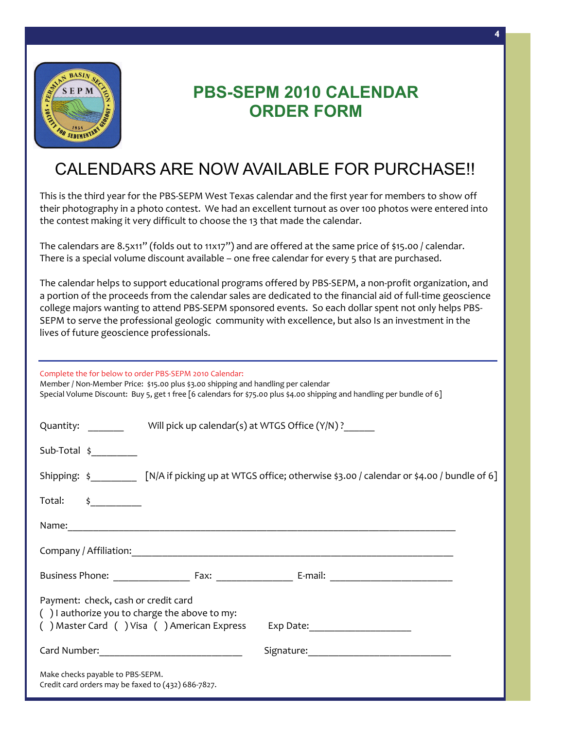

# **PBS-SEPM 2010 CALENDAR ORDER FORM**

### CALENDARS ARE NOW AVAILABLE FOR PURCHASE!!  $\overline{\phantom{a}}$

This is the third year for the PBS‐SEPM West Texas calendar and the first year for members to show off their photography in a photo contest. We had an excellent turnout as over 100 photos were entered into  $\frac{1}{2}$  context making it year difficult to choose the  $\Omega$  that made the calendar the contest making it very difficult to choose the 13 that made the calendar.

There is a special volume discount available – one free calendar for every 5 that are purchased. The calendars are 8.5x11" (folds out to 11x17") and are offered at the same price of \$15.00 / calendar.

ogy that minimizes battery management logistics and environmental footprint. In areas of high daylight, *field cube to be produced within a few*  the excess solar power is used to reach properties for the conventional batteries for backup power and nighta portion of the proceeds from the calendar sales are dedicated to the financial aid of full-time geoscience SEPM to serve the professional geologic community with excellence, but also Is an investment in the  $\mathcal{L}_{\text{t}}$ lives of future geoscience professionals. *days of acquisition"*  The calendar helps to support educational programs offered by PBS‐SEPM, a non‐profit organization, and college majors wanting to attend PBS‐SEPM sponsored events. So each dollar spent not only helps PBS‐

Real-time quality control and in-field data processing In the gration and processing through the  $\mathcal{L}_\mathcal{A}$ Complete the for below to order PBS‐SEPM 2010 Calendar:

Special Volume Discount: Buy 5, get 1 free [6 calendars for \$75.00 plus \$4.00 shipping and handling per bundle of 6] Member / Non‐Member Price: \$15.00 plus \$3.00 shipping and handling per calendar

|                                                                                                                                                                              | Quantity: Will pick up calendar(s) at WTGS Office (Y/N)? |                                                                                                      |  |  |
|------------------------------------------------------------------------------------------------------------------------------------------------------------------------------|----------------------------------------------------------|------------------------------------------------------------------------------------------------------|--|--|
| $Sub-Total$ \$                                                                                                                                                               |                                                          |                                                                                                      |  |  |
|                                                                                                                                                                              |                                                          | Shipping: \$ [N/A if picking up at WTGS office; otherwise \$3.00 / calendar or \$4.00 / bundle of 6] |  |  |
| Total: $\frac{1}{2}$                                                                                                                                                         |                                                          |                                                                                                      |  |  |
|                                                                                                                                                                              |                                                          |                                                                                                      |  |  |
|                                                                                                                                                                              |                                                          |                                                                                                      |  |  |
|                                                                                                                                                                              |                                                          |                                                                                                      |  |  |
| Payment: check, cash or credit card<br>$( )$ l authorize you to charge the above to my:<br>() Master Card () Visa () American Express<br>Exp Date:__________________________ |                                                          |                                                                                                      |  |  |
|                                                                                                                                                                              |                                                          | Signature: Management of the Signature:                                                              |  |  |
| Make checks payable to PBS-SEPM.<br>Credit card orders may be faxed to (432) 686-7827.                                                                                       |                                                          |                                                                                                      |  |  |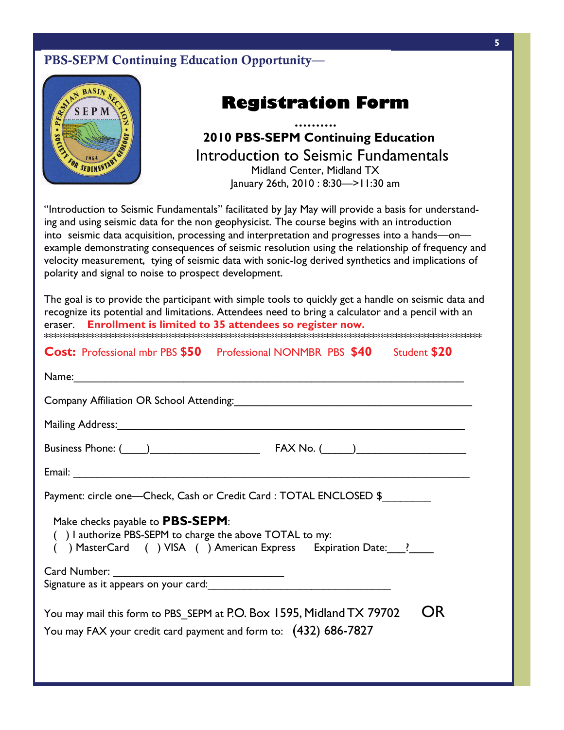# PBS-SEPM Continuing Education Opportunity—



# **Registration Form**

### **ERECORD (SPEAKER)** 2010 PBS-SEPM Continuing Education **EXAMPLE IS A POINT-RECEIVER ACCURACION AND ACCURACION CAPABLE OF ACCUPACION ACCUPACION ACCUPACION ACCUPACION CONTRACTION OF ACCUPACION CONTRACTION OF ACCUPACION CONTRACTION OF ACCUPACION CONTRACTION OF ACCUPACION ACCUPACI ……….**  Introduction to Seismic Fundamentals January 26th, 2010 : 8:30—>11:30 am

"Introduction to Seismic Fundamentals" facilitated by Jay May will provide a basis for understandsensor transmits a digital transmit  $\mathbf{L}_1$  transmitted ground  $\mathbf{L}_2$  and  $\mathbf{L}_3$  cable-based ground network a cable-based ground network a cable-based ground network and  $\mathbf{L}_3$  and  $\mathbf{L}_4$  and  $\mathbf{L}_5$  and ing and using seismic data for the non geophysicist. The course begins with an introduction into seismic data acquisition, processing and interpretation and progresses into a hands—on velocity measurement, tying of seismic data with sonic-log derived synthetics and implications of  $\Omega$  and  $\alpha$  combination of solar parameters and convention of solar panels and conventional battery technology technology technology technology technology technology technology technology technology technology technolog polarity and signal to noise to prospect development. example demonstrating consequences of seismic resolution using the relationship of frequency and

The goal is to provide the participant with simple tools to quickly get a handle on seismic data and  $\mathbb{R}^n$  is potent. eraser. **Enrollment is limited to 35 attendees so register now.** truck to enable source-driven acquisition using multiple vibrator fleets, or explosives. \*\*\*\*\*\*\*\*\*\*\*\*\*\*\*\*\*\*\*\*\*\*\*\*\*\*\*\*\*\*\*\*\*\*\*\*\*\*\*\*\*\*\*\*\*\*\*\*\*\*\*\*\*\*\*\*\*\*\*\*\*\*\*\*\*\*\*\*\*\*\*\*\*\*\*\*\*\*\*\*\*\*\*\*\*\*\*\*\*\*\*\*\*\*\* recognize its potential and limitations. Attendees need to bring a calculator and a pencil with an

# **Cost:** Professional mbr PBS  $$50$  Professional NONMBR PBS  $$40$  Student  $$20$

| Company Affiliation OR School Attending: Manual Account of the Company Affiliation OR School Attending:                                                      |
|--------------------------------------------------------------------------------------------------------------------------------------------------------------|
| Mailing Address: 1988 - 1999 - 1999 - 1999 - 1999 - 1999 - 1999 - 1999 - 1999 - 1999 - 1999 - 1999 - 1999 - 1                                                |
|                                                                                                                                                              |
|                                                                                                                                                              |
| Payment: circle one—Check, Cash or Credit Card : TOTAL ENCLOSED \$                                                                                           |
| Make checks payable to PBS-SEPM:<br>() I authorize PBS-SEPM to charge the above TOTAL to my:<br>() MasterCard () VISA () American Express Expiration Date: ? |
| Signature as it appears on your card: Martin Martin Martin Martin Martin Martin Martin Martin Martin Martin Ma                                               |
| You may mail this form to PBS SEPM at P.O. Box 1595, Midland TX 79702<br>You may FAX your credit card payment and form to: (432) 686-7827                    |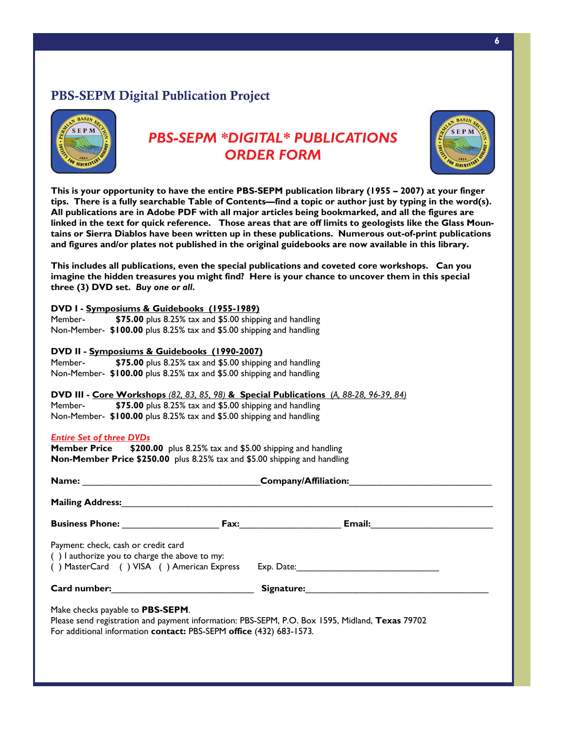# PBS-SEPM Digital Publication Project



# *PBS-SEPM \*DIGITAL\* PUBLICATIONS ORDER FORM*



**This is your opportunity to have the entire PBS-SEPM publication library (1955 – 2007) at your finger tips. There is a fully searchable Table of Contents—find a topic or author just by typing in the word(s). All publications are in Adobe PDF with all major articles being bookmarked, and all the figures are linked in the text for quick reference. Those areas that are off limits to geologists like the Glass Mountains or Sierra Diablos have been written up in these publications. Numerous out-of-print publications and figures and/or plates not published in the original guidebooks are now available in this library.** 

**This includes all publications, even the special publications and coveted core workshops. Can you imagine the hidden treasures you might find? Here is your chance to uncover them in this special three (3) DVD set.** *Buy one or all***.** 

| DVD I - Symposiums & Guidebooks (1955-1989)                                                                                                                                                                                    |                                                 |                                                                                                                |  |  |  |  |  |
|--------------------------------------------------------------------------------------------------------------------------------------------------------------------------------------------------------------------------------|-------------------------------------------------|----------------------------------------------------------------------------------------------------------------|--|--|--|--|--|
| Member-                                                                                                                                                                                                                        |                                                 | \$75.00 plus 8.25% tax and \$5.00 shipping and handling                                                        |  |  |  |  |  |
| Non-Member- \$100.00 plus 8.25% tax and \$5.00 shipping and handling                                                                                                                                                           |                                                 |                                                                                                                |  |  |  |  |  |
|                                                                                                                                                                                                                                |                                                 |                                                                                                                |  |  |  |  |  |
| DVD II - Symposiums & Guidebooks (1990-2007)                                                                                                                                                                                   |                                                 |                                                                                                                |  |  |  |  |  |
| \$75.00 plus 8.25% tax and \$5.00 shipping and handling<br>Member-                                                                                                                                                             |                                                 |                                                                                                                |  |  |  |  |  |
| Non-Member- \$100.00 plus 8.25% tax and \$5.00 shipping and handling                                                                                                                                                           |                                                 |                                                                                                                |  |  |  |  |  |
|                                                                                                                                                                                                                                |                                                 | DVD III - Core Workshops (82, 83, 85, 98) & Special Publications (A, 88-28, 96-39, 84)                         |  |  |  |  |  |
| Member- \$75.00 plus 8.25% tax and \$5.00 shipping and handling                                                                                                                                                                |                                                 |                                                                                                                |  |  |  |  |  |
| Non-Member- \$100.00 plus 8.25% tax and \$5.00 shipping and handling                                                                                                                                                           |                                                 |                                                                                                                |  |  |  |  |  |
|                                                                                                                                                                                                                                |                                                 |                                                                                                                |  |  |  |  |  |
| <b>Entire Set of three DVDs</b>                                                                                                                                                                                                |                                                 |                                                                                                                |  |  |  |  |  |
| Member Price \$200.00 plus 8.25% tax and \$5.00 shipping and handling                                                                                                                                                          |                                                 |                                                                                                                |  |  |  |  |  |
| Non-Member Price \$250.00 plus 8.25% tax and \$5.00 shipping and handling                                                                                                                                                      |                                                 |                                                                                                                |  |  |  |  |  |
|                                                                                                                                                                                                                                |                                                 |                                                                                                                |  |  |  |  |  |
|                                                                                                                                                                                                                                | Name: Company/Affiliation: Company/Affiliation: |                                                                                                                |  |  |  |  |  |
| Mailing Address: National Action of the Contract of the Contract of the Contract of the Contract of the Contract of the Contract of the Contract of the Contract of the Contract of the Contract of the Contract of the Contra |                                                 |                                                                                                                |  |  |  |  |  |
|                                                                                                                                                                                                                                |                                                 |                                                                                                                |  |  |  |  |  |
| Payment: check, cash or credit card                                                                                                                                                                                            |                                                 |                                                                                                                |  |  |  |  |  |
| () I authorize you to charge the above to my:                                                                                                                                                                                  |                                                 |                                                                                                                |  |  |  |  |  |
| () MasterCard () VISA () American Express                                                                                                                                                                                      |                                                 | Exp. Date: The contract of the contract of the contract of the contract of the contract of the contract of the |  |  |  |  |  |
|                                                                                                                                                                                                                                |                                                 |                                                                                                                |  |  |  |  |  |
| <b>Card number:</b>                                                                                                                                                                                                            |                                                 | Signature: National Communications of the Communications of the Communications of the Communications of the Co |  |  |  |  |  |
|                                                                                                                                                                                                                                |                                                 |                                                                                                                |  |  |  |  |  |
| Make checks payable to PBS-SEPM.                                                                                                                                                                                               |                                                 |                                                                                                                |  |  |  |  |  |
|                                                                                                                                                                                                                                |                                                 | Please send registration and payment information: PBS-SEPM, P.O. Box 1595, Midland, Texas 79702                |  |  |  |  |  |
|                                                                                                                                                                                                                                |                                                 |                                                                                                                |  |  |  |  |  |
| For additional information contact: PBS-SEPM office (432) 683-1573.                                                                                                                                                            |                                                 |                                                                                                                |  |  |  |  |  |
|                                                                                                                                                                                                                                |                                                 |                                                                                                                |  |  |  |  |  |
|                                                                                                                                                                                                                                |                                                 |                                                                                                                |  |  |  |  |  |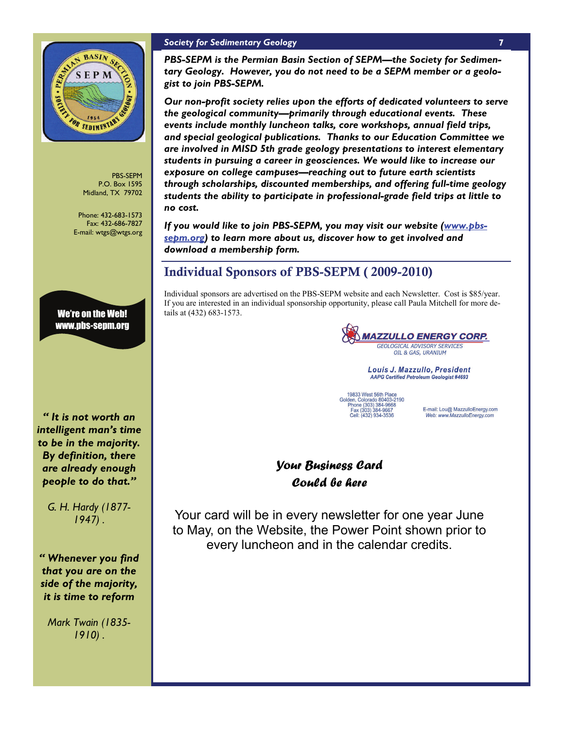

PBS-SEPM P.O. Box 1595 Midland, TX 79702

Phone: 432-683-1573 Fax: 432-686-7827 E-mail: wtgs@wtgs.org

We're on the Web! www.pbs-sepm.org

*" It is not worth an intelligent man's time to be in the majority. By definition, there are already enough people to do that."* 

*G. H. Hardy (1877- 1947) .* 

*" Whenever you find that you are on the side of the majority, it is time to reform* 

*Mark Twain (1835- 1910) .* 

### *Society for Sedimentary Geology*

*PBS-SEPM is the Permian Basin Section of SEPM—the Society for Sedimentary Geology. However, you do not need to be a SEPM member or a geologist to join PBS-SEPM.* 

*Our non-profit society relies upon the efforts of dedicated volunteers to serve the geological community—primarily through educational events. These events include monthly luncheon talks, core workshops, annual field trips, and special geological publications. Thanks to our Education Committee we are involved in MISD 5th grade geology presentations to interest elementary students in pursuing a career in geosciences. We would like to increase our exposure on college campuses—reaching out to future earth scientists through scholarships, discounted memberships, and offering full-time geology students the ability to participate in professional-grade field trips at little to no cost.* 

*If you would like to join PBS-SEPM, you may visit our website (www.pbssepm.org) to learn more about us, discover how to get involved and download a membership form.* 

### Individual Sponsors of PBS-SEPM ( 2009-2010)

Individual sponsors are advertised on the PBS-SEPM website and each Newsletter. Cost is \$85/year. If you are interested in an individual sponsorship opportunity, please call Paula Mitchell for more details at (432) 683-1573.

**MAZZULLO ENERGY CORP.** GEOLOGICAL ADVISORY SERVICES OIL & GAS, URANIUM

Louis J. Mazzullo, President **AAPG Certified Petroleum Geologist #4693** 

19833 West 56th Place<br>Golden, Colorado 80403-2190<br>Phone (303) 384-9668<br>Fax (303) 384-9667<br>Cell: (432) 934-3536

E-mail: Lou@ MazzulloEnergy.com Web: www.MazzulloEnergy.com

# *Your Business Card Could be here*

Your card will be in every newsletter for one year June to May, on the Website, the Power Point shown prior to every luncheon and in the calendar credits.